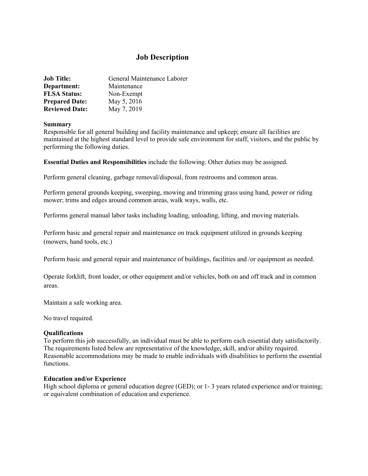# **Job Description**

| <b>Job Title:</b>     | General Maintenance Laborer |
|-----------------------|-----------------------------|
| Department:           | Maintenance                 |
| <b>FLSA Status:</b>   | Non-Exempt                  |
| <b>Prepared Date:</b> | May 5, 2016                 |
| <b>Reviewed Date:</b> | May 7, 2019                 |

#### **Summary**

Responsible for all general building and facility maintenance and upkeep; ensure all facilities are maintained at the highest standard level to provide safe environment for staff, visitors, and the public by performing the following duties.

**Essential Duties and Responsibilities** include the following. Other duties may be assigned.

Perform general cleaning, garbage removal/disposal, from restrooms and common areas.

Perform general grounds keeping, sweeping, mowing and trimming grass using hand, power or riding mower; trims and edges around common areas, walk ways, walls, etc.

Performs general manual labor tasks including loading, unloading, lifting, and moving materials.

Perform basic and general repair and maintenance on track equipment utilized in grounds keeping (mowers, hand tools, etc.)

Perform basic and general repair and maintenance of buildings, facilities and /or equipment as needed.

Operate forklift, front loader, or other equipment and/or vehicles, both on and off track and in common areas.

Maintain a safe working area.

No travel required.

## **Qualifications**

To perform this job successfully, an individual must be able to perform each essential duty satisfactorily. The requirements listed below are representative of the knowledge, skill, and/or ability required. Reasonable accommodations may be made to enable individuals with disabilities to perform the essential functions.

#### **Education and/or Experience**

High school diploma or general education degree (GED); or 1-3 years related experience and/or training; or equivalent combination of education and experience.